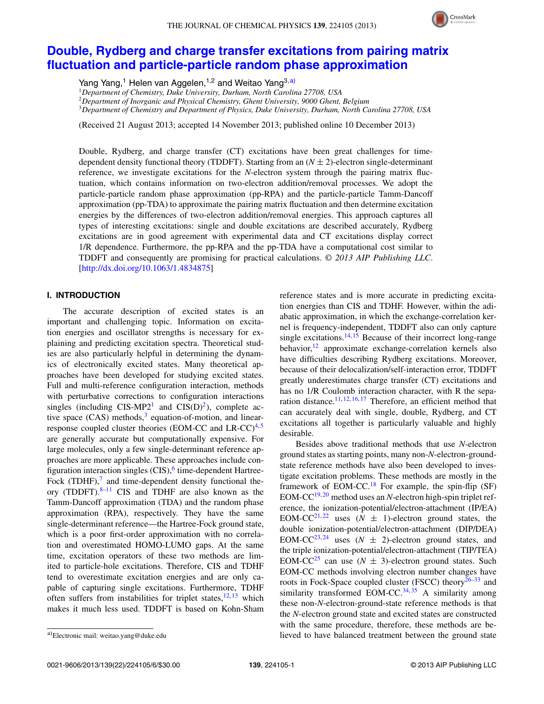

# **[Double, Rydberg and charge transfer excitations from pairing matrix](http://dx.doi.org/10.1063/1.4834875) [fluctuation and particle-particle random phase approximation](http://dx.doi.org/10.1063/1.4834875)**

Yang Yang,<sup>1</sup> Helen van Aggelen,<sup>1,2</sup> and Weitao Yang<sup>3[,a\)](#page-0-0)</sup>

<sup>1</sup>*Department of Chemistry, Duke University, Durham, North Carolina 27708, USA*

<sup>2</sup>*Department of Inorganic and Physical Chemistry, Ghent University, 9000 Ghent, Belgium*

<sup>3</sup>*Department of Chemistry and Department of Physics, Duke University, Durham, North Carolina 27708, USA*

(Received 21 August 2013; accepted 14 November 2013; published online 10 December 2013)

Double, Rydberg, and charge transfer (CT) excitations have been great challenges for timedependent density functional theory (TDDFT). Starting from an (*N* ± 2)-electron single-determinant reference, we investigate excitations for the *N*-electron system through the pairing matrix fluctuation, which contains information on two-electron addition/removal processes. We adopt the particle-particle random phase approximation (pp-RPA) and the particle-particle Tamm-Dancoff approximation (pp-TDA) to approximate the pairing matrix fluctuation and then determine excitation energies by the differences of two-electron addition/removal energies. This approach captures all types of interesting excitations: single and double excitations are described accurately, Rydberg excitations are in good agreement with experimental data and CT excitations display correct 1/R dependence. Furthermore, the pp-RPA and the pp-TDA have a computational cost similar to TDDFT and consequently are promising for practical calculations. *© 2013 AIP Publishing LLC*. [\[http://dx.doi.org/10.1063/1.4834875\]](http://dx.doi.org/10.1063/1.4834875)

# **I. INTRODUCTION**

The accurate description of excited states is an important and challenging topic. Information on excitation energies and oscillator strengths is necessary for explaining and predicting excitation spectra. Theoretical studies are also particularly helpful in determining the dynamics of electronically excited states. Many theoretical approaches have been developed for studying excited states. Full and multi-reference configuration interaction, methods with perturbative corrections to configuration interactions singles (including  $CIS-MP2<sup>1</sup>$  and  $CIS(D)<sup>2</sup>$ ), complete active space  $(CAS)$  methods,<sup>3</sup> equation-of-motion, and linearresponse coupled cluster theories (EOM-CC and  $LR-CC$ )<sup>[4,](#page-5-3)[5](#page-5-4)</sup> are generally accurate but computationally expensive. For large molecules, only a few single-determinant reference approaches are more applicable. These approaches include configuration interaction singles  $(CIS)$ , time-dependent Hartree-Fock (TDHF), $\frac{7}{7}$  and time-dependent density functional theory (TDDFT). $8-11$  CIS and TDHF are also known as the Tamm-Dancoff approximation (TDA) and the random phase approximation (RPA), respectively. They have the same single-determinant reference—the Hartree-Fock ground state, which is a poor first-order approximation with no correlation and overestimated HOMO-LUMO gaps. At the same time, excitation operators of these two methods are limited to particle-hole excitations. Therefore, CIS and TDHF tend to overestimate excitation energies and are only capable of capturing single excitations. Furthermore, TDHF often suffers from instabilities for triplet states, $12, 13$  $12, 13$  which makes it much less used. TDDFT is based on Kohn-Sham

Besides above traditional methods that use *N*-electron ground states as starting points, many non-*N*-electron-groundstate reference methods have also been developed to investigate excitation problems. These methods are mostly in the framework of EOM-CC.<sup>[18](#page-5-15)</sup> For example, the spin-flip  $(SF)$ EOM-CC<sup>[19,](#page-5-16) [20](#page-5-17)</sup> method uses an *N*-electron high-spin triplet reference, the ionization-potential/electron-attachment (IP/EA) EOM-CC<sup>[21,](#page-5-18) [22](#page-5-19)</sup> uses  $(N \pm 1)$ -electron ground states, the double ionization-potential/electron-attachment (DIP/DEA) EOM-CC<sup>[23,](#page-5-20) [24](#page-5-21)</sup> uses  $(N \pm 2)$ -electron ground states, and the triple ionization-potential/electron-attachment (TIP/TEA) EOM-CC<sup>[25](#page-5-22)</sup> can use  $(N \pm 3)$ -electron ground states. Such EOM-CC methods involving electron number changes have roots in Fock-Space coupled cluster (FSCC) theory<sup>26[–33](#page-5-24)</sup> and similarity transformed EOM-CC. $34,35$  $34,35$  A similarity among these non-*N*-electron-ground-state reference methods is that the *N*-electron ground state and excited states are constructed with the same procedure, therefore, these methods are believed to have balanced treatment between the ground state

reference states and is more accurate in predicting excitation energies than CIS and TDHF. However, within the adiabatic approximation, in which the exchange-correlation kernel is frequency-independent, TDDFT also can only capture single excitations. $14, 15$  $14, 15$  $14, 15$  Because of their incorrect long-range behavior, $12$  approximate exchange-correlation kernels also have difficulties describing Rydberg excitations. Moreover, because of their delocalization/self-interaction error, TDDFT greatly underestimates charge transfer (CT) excitations and has no 1/R Coulomb interaction character, with R the sepa-ration distance.<sup>[11,](#page-5-8) [12,](#page-5-9) [16,](#page-5-13) [17](#page-5-14)</sup> Therefore, an efficient method that can accurately deal with single, double, Rydberg, and CT excitations all together is particularly valuable and highly desirable.

<span id="page-0-0"></span>a)Electronic mail: [weitao.yang@duke.edu](mailto: weitao.yang@duke.edu)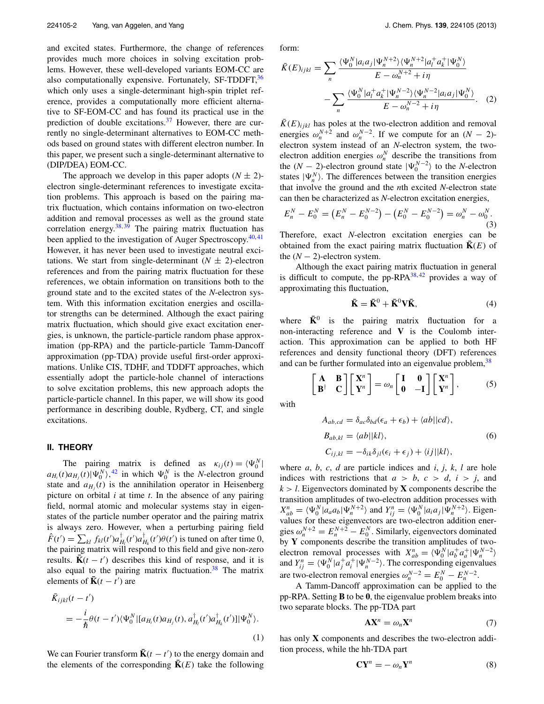and excited states. Furthermore, the change of references provides much more choices in solving excitation problems. However, these well-developed variants EOM-CC are also computationally expensive. Fortunately,  $SF-TDDFT$ ,  $36$ which only uses a single-determinant high-spin triplet reference, provides a computationally more efficient alternative to SF-EOM-CC and has found its practical use in the prediction of double excitations.<sup>37</sup> However, there are currently no single-determinant alternatives to EOM-CC methods based on ground states with different electron number. In this paper, we present such a single-determinant alternative to (DIP/DEA) EOM-CC.

The approach we develop in this paper adopts  $(N \pm 2)$ electron single-determinant references to investigate excitation problems. This approach is based on the pairing matrix fluctuation, which contains information on two-electron addition and removal processes as well as the ground state correlation energy. $38,39$  $38,39$  The pairing matrix fluctuation has been applied to the investigation of Auger Spectroscopy.<sup>[40,](#page-5-31)[41](#page-5-32)</sup> However, it has never been used to investigate neutral excitations. We start from single-determinant  $(N \pm 2)$ -electron references and from the pairing matrix fluctuation for these references, we obtain information on transitions both to the ground state and to the excited states of the *N*-electron system. With this information excitation energies and oscillator strengths can be determined. Although the exact pairing matrix fluctuation, which should give exact excitation energies, is unknown, the particle-particle random phase approximation (pp-RPA) and the particle-particle Tamm-Dancoff approximation (pp-TDA) provide useful first-order approximations. Unlike CIS, TDHF, and TDDFT approaches, which essentially adopt the particle-hole channel of interactions to solve excitation problems, this new approach adopts the particle-particle channel. In this paper, we will show its good performance in describing double, Rydberg, CT, and single excitations.

#### **II. THEORY**

The pairing matrix is defined as  $\kappa_{ij}(t) = \langle \Psi_0^N \rangle$ The pairing matrix is defined as  $\kappa_{ij}(t) = \langle \Psi_0^{\dagger} |$ <br>  $a_{H_i}(t)a_{H_j}(t)|\Psi_0^N\rangle$ ,<sup>[42](#page-5-33)</sup> in which  $\Psi_0^N$  is the *N*-electron ground state and  $a_{H_i}(t)$  is the annihilation operator in Heisenberg picture on orbital *i* at time *t*. In the absence of any pairing field, normal atomic and molecular systems stay in eigenstates of the particle number operator and the pairing matrix is always zero. However, when a perturbing pairing field  $\hat{F}(t') = \sum_{kl} f_{kl}(t') a_{H_l}^{\dagger}(t') a_{H_k}^{\dagger}(t') \theta(t')$  is tuned on after time 0, the pairing matrix will respond to this field and give non-zero results.  $\overline{\mathbf{K}}(t - t')$  describes this kind of response, and it is also equal to the pairing matrix fluctuation.<sup>38</sup> The matrix elements of  $\mathbf{\bar{K}}(t - t')$  are

$$
\bar{K}_{ijkl}(t - t') = -\frac{i}{\hbar} \theta(t - t') \langle \Psi_0^N | [a_{H_i}(t)a_{H_j}(t), a_{H_i}^{\dagger}(t')a_{H_k}^{\dagger}(t')] | \Psi_0^N \rangle.
$$
\n(1)

We can Fourier transform  $\bar{\mathbf{K}}(t - t')$  to the energy domain and the elements of the corresponding  $\overline{\mathbf{K}}(E)$  take the following form:

$$
\bar{K}(E)_{ijkl} = \sum_{n} \frac{\langle \Psi_0^N | a_i a_j | \Psi_n^{N+2} \rangle \langle \Psi_n^{N+2} | a_i^+ a_k^+ | \Psi_0^N \rangle}{E - \omega_n^{N+2} + i \eta} - \sum_{n} \frac{\langle \Psi_0^N | a_i^+ a_k^+ | \Psi_n^{N-2} \rangle \langle \Psi_n^{N-2} | a_i a_j | \Psi_0^N \rangle}{E - \omega_n^{N-2} + i \eta}.
$$
 (2)

 $\bar{K}(E)_{ijkl}$  has poles at the two-electron addition and removal energies  $\omega_n^{N+2}$  and  $\omega_n^{N-2}$ . If we compute for an  $(N-2)$ electron system instead of an *N*-electron system, the twoelectron addition energies  $\omega_n^N$  describe the transitions from the  $(N-2)$ -electron ground state  $|\Psi_0^{N-2}\rangle$  to the *N*-electron states  $|\Psi_n^N\rangle$ . The differences between the transition energies that involve the ground and the *n*th excited *N*-electron state can then be characterized as *N*-electron excitation energies,

$$
E_n^N - E_0^N = (E_n^N - E_0^{N-2}) - (E_0^N - E_0^{N-2}) = \omega_n^N - \omega_0^N.
$$
\n(3)

Therefore, exact *N*-electron excitation energies can be obtained from the exact pairing matrix fluctuation  $K(E)$  of the  $(N - 2)$ -electron system.

Although the exact pairing matrix fluctuation in general is difficult to compute, the pp-RPA $38,42$  $38,42$  provides a way of approximating this fluctuation,

<span id="page-1-1"></span>
$$
\bar{\mathbf{K}} = \bar{\mathbf{K}}^0 + \bar{\mathbf{K}}^0 \mathbf{V} \bar{\mathbf{K}},\tag{4}
$$

where  $\bar{\mathbf{K}}^0$  is the pairing matrix fluctuation for a non-interacting reference and **V** is the Coulomb interaction. This approximation can be applied to both HF references and density functional theory (DFT) references and can be further formulated into an eigenvalue problem, <sup>[38](#page-5-29)</sup>

$$
\begin{bmatrix} A & B \\ B^{\dagger} & C \end{bmatrix} \begin{bmatrix} X^n \\ Y^n \end{bmatrix} = \omega_n \begin{bmatrix} I & 0 \\ 0 & -I \end{bmatrix} \begin{bmatrix} X^n \\ Y^n \end{bmatrix},
$$
 (5)

<span id="page-1-0"></span>with

$$
A_{ab,cd} = \delta_{ac}\delta_{bd}(\epsilon_a + \epsilon_b) + \langle ab||cd\rangle,
$$
  
\n
$$
B_{ab,kl} = \langle ab||kl\rangle,
$$
  
\n
$$
C_{ij,kl} = -\delta_{ik}\delta_{jl}(\epsilon_i + \epsilon_j) + \langle ij||kl\rangle,
$$
 (6)

where *a*, *b*, *c*, *d* are particle indices and *i*, *j*, *k*, *l* are hole indices with restrictions that  $a > b$ ,  $c > d$ ,  $i > j$ , and  $k > l$ . Eigenvectors dominated by **X** components describe the transition amplitudes of two-electron addition processes with  $X_{ab}^n = \langle \Psi_0^N | a_a a_b | \Psi_n^{N+2} \rangle$  and  $Y_{ij}^n = \langle \Psi_0^N | a_i a_j | \Psi_n^{N+2} \rangle$ . Eigenvalues for these eigenvectors are two-electron addition energies  $\omega_n^{N+2} = E_n^{N+2} - E_0^N$ . Similarly, eigenvectors dominated by **Y** components describe the transition amplitudes of twoelectron removal processes with  $X_{ab}^n = \langle \Psi_0^N | a_b^+ a_a^+ | \Psi_n^{N-2} \rangle$ and  $Y_{ij}^n = \langle \Psi_0^N | a_j^+ a_i^+ | \Psi_n^{N-2} \rangle$ . The corresponding eigenvalues are two-electron removal energies  $\omega_n^{N-2} = E_0^N - E_n^{N-2}$ .

A Tamm-Dancoff approximation can be applied to the pp-RPA. Setting **B** to be **0**, the eigenvalue problem breaks into two separate blocks. The pp-TDA part

$$
AX^n = \omega_n X^n \tag{7}
$$

has only **X** components and describes the two-electron addition process, while the hh-TDA part

$$
\mathbf{C}\mathbf{Y}^n = -\omega_n \mathbf{Y}^n \tag{8}
$$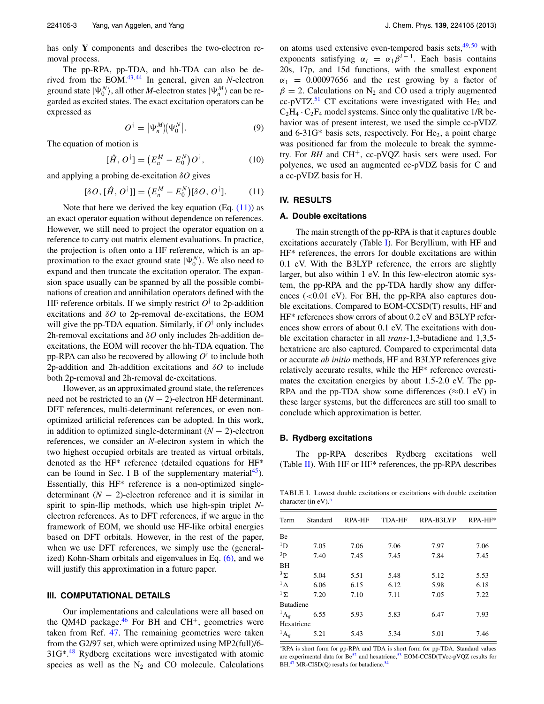has only **Y** components and describes the two-electron removal process.

The pp-RPA, pp-TDA, and hh-TDA can also be derived from the  $EOM.<sup>43,44</sup>$  $EOM.<sup>43,44</sup>$  $EOM.<sup>43,44</sup>$  $EOM.<sup>43,44</sup>$  In general, given an *N*-electron ground state  $|\Psi_0^N\rangle$ , all other *M*-electron states  $|\Psi_n^M\rangle$  can be regarded as excited states. The exact excitation operators can be expressed as

$$
O^{\dagger} = |\Psi_n^M \rangle \langle \Psi_0^N |.
$$
 (9)

The equation of motion is

$$
[\hat{H}, O^{\dagger}] = (E_n^M - E_0^N)O^{\dagger}, \qquad (10)
$$

and applying a probing de-excitation *δO* gives

$$
[\delta O, [\hat{H}, O^{\dagger}]] = (E_n^M - E_0^N)[\delta O, O^{\dagger}]. \tag{11}
$$

Note that here we derived the key equation  $(Eq. (11))$  $(Eq. (11))$  as an exact operator equation without dependence on references. However, we still need to project the operator equation on a reference to carry out matrix element evaluations. In practice, the projection is often onto a HF reference, which is an approximation to the exact ground state  $|\Psi_0^N\rangle$ . We also need to expand and then truncate the excitation operator. The expansion space usually can be spanned by all the possible combinations of creation and annihilation operators defined with the HF reference orbitals. If we simply restrict  $O^{\dagger}$  to 2p-addition excitations and *δO* to 2p-removal de-excitations, the EOM will give the pp-TDA equation. Similarly, if  $O^{\dagger}$  only includes 2h-removal excitations and *δO* only includes 2h-addition deexcitations, the EOM will recover the hh-TDA equation. The pp-RPA can also be recovered by allowing *O*† to include both 2p-addition and 2h-addition excitations and *δO* to include both 2p-removal and 2h-removal de-excitations.

However, as an approximated ground state, the references need not be restricted to an  $(N - 2)$ -electron HF determinant. DFT references, multi-determinant references, or even nonoptimized artificial references can be adopted. In this work, in addition to optimized single-determinant (*N* − 2)-electron references, we consider an *N*-electron system in which the two highest occupied orbitals are treated as virtual orbitals, denoted as the HF\* reference (detailed equations for HF\* can be found in Sec. I B of the supplementary material<sup>45</sup>). Essentially, this HF\* reference is a non-optimized singledeterminant  $(N - 2)$ -electron reference and it is similar in spirit to spin-flip methods, which use high-spin triplet *N*electron references. As to DFT references, if we argue in the framework of EOM, we should use HF-like orbital energies based on DFT orbitals. However, in the rest of the paper, when we use DFT references, we simply use the (generalized) Kohn-Sham orbitals and eigenvalues in Eq. [\(6\),](#page-1-0) and we will justify this approximation in a future paper.

## **III. COMPUTATIONAL DETAILS**

Our implementations and calculations were all based on the QM4D package.<sup>46</sup> For BH and CH<sup>+</sup>, geometries were taken from Ref. [47.](#page-5-38) The remaining geometries were taken from the G2/97 set, which were optimized using MP2(full)/6-  $31G<sup>*</sup><sup>48</sup>$  $31G<sup>*</sup><sup>48</sup>$  $31G<sup>*</sup><sup>48</sup>$  Rydberg excitations were investigated with atomic species as well as the  $N_2$  and CO molecule. Calculations on atoms used extensive even-tempered basis sets,  $49,50$  $49,50$  with exponents satisfying  $\alpha_i = \alpha_1 \beta^{i-1}$ . Each basis contains 20s, 17p, and 15d functions, with the smallest exponent  $\alpha_1$  = 0.00097656 and the rest growing by a factor of  $\beta = 2$ . Calculations on N<sub>2</sub> and CO used a triply augmented cc-pVTZ.<sup>51</sup> CT excitations were investigated with  $He<sub>2</sub>$  and  $C_2H_4 \cdot C_2F_4$  model systems. Since only the qualitative 1/R behavior was of present interest, we used the simple cc-pVDZ and  $6-31G^*$  basis sets, respectively. For He<sub>2</sub>, a point charge was positioned far from the molecule to break the symmetry. For *BH* and CH+, cc-pVQZ basis sets were used. For polyenes, we used an augmented cc-pVDZ basis for C and a cc-pVDZ basis for H.

# <span id="page-2-0"></span>**IV. RESULTS**

## **A. Double excitations**

The main strength of the pp-RPA is that it captures double excitations accurately (Table [I\)](#page-2-1). For Beryllium, with HF and HF\* references, the errors for double excitations are within 0.1 eV. With the B3LYP reference, the errors are slightly larger, but also within 1 eV. In this few-electron atomic system, the pp-RPA and the pp-TDA hardly show any differences (*<*0.01 eV). For BH, the pp-RPA also captures double excitations. Compared to EOM-CCSD(T) results, HF and HF\* references show errors of about 0.2 eV and B3LYP references show errors of about 0.1 eV. The excitations with double excitation character in all *trans*-1,3-butadiene and 1,3,5 hexatriene are also captured. Compared to experimental data or accurate *ab initio* methods, HF and B3LYP references give relatively accurate results, while the HF\* reference overestimates the excitation energies by about 1.5-2.0 eV. The pp-RPA and the pp-TDA show some differences ( $\approx$ 0.1 eV) in these larger systems, but the differences are still too small to conclude which approximation is better.

### **B. Rydberg excitations**

The pp-RPA describes Rydberg excitations well (Table [II\)](#page-3-0). With HF or HF\* references, the pp-RPA describes

<span id="page-2-1"></span>TABLE I. Lowest double excitations or excitations with double excitation character (in  $eV$ ).<sup>a</sup>

| Term               | Standard | <b>RPA-HF</b> | <b>TDA-HF</b> | RPA-B3LYP | RPA-HF* |
|--------------------|----------|---------------|---------------|-----------|---------|
| Be                 |          |               |               |           |         |
| ${}^{1}D$          | 7.05     | 7.06          | 7.06          | 7.97      | 7.06    |
| 3p                 | 7.40     | 7.45          | 7.45          | 7.84      | 7.45    |
| <b>BH</b>          |          |               |               |           |         |
| $3\Sigma$          | 5.04     | 5.51          | 5.48          | 5.12      | 5.53    |
| $\frac{1}{\Delta}$ | 6.06     | 6.15          | 6.12          | 5.98      | 6.18    |
| $1\Sigma$          | 7.20     | 7.10          | 7.11          | 7.05      | 7.22    |
| <b>Butadiene</b>   |          |               |               |           |         |
| ${}^{1}A_g$        | 6.55     | 5.93          | 5.83          | 6.47      | 7.93    |
| Hexatriene         |          |               |               |           |         |
| ${}^1\mathrm{A}_g$ | 5.21     | 5.43          | 5.34          | 5.01      | 7.46    |

<span id="page-2-2"></span><sup>a</sup>RPA is short form for pp-RPA and TDA is short form for pp-TDA. Standard values are experimental data for  $Be^{52}$  and hexatriene,<sup>53</sup> EOM-CCSD(T)/cc-pVQZ results for  $BH, <sup>47</sup> MR-CISD(O)$  $BH, <sup>47</sup> MR-CISD(O)$  $BH, <sup>47</sup> MR-CISD(O)$  results for butadiene.<sup>54</sup>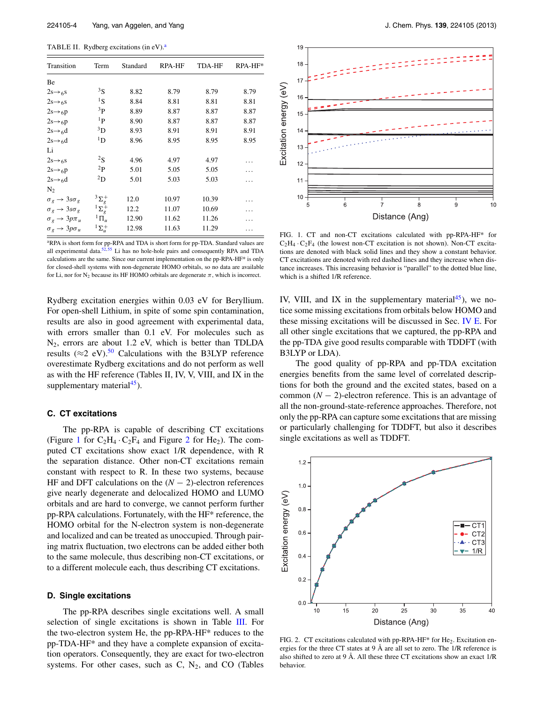<span id="page-3-0"></span>TABLE II. Rydberg excitations (in eV).<sup>a</sup>

| Transition                                        | Term              | Standard | RPA-HF | TDA-HF | $RPA-HF*$ |  |
|---------------------------------------------------|-------------------|----------|--------|--------|-----------|--|
| Be                                                |                   |          |        |        |           |  |
| $2s \rightarrow 6s$                               | ${}^{3}S$         | 8.82     | 8.79   | 8.79   | 8.79      |  |
| $2s \rightarrow 6s$                               | ${}^{1}S$         | 8.84     | 8.81   | 8.81   | 8.81      |  |
| $2s \rightarrow 6p$                               | 3 <sub>P</sub>    | 8.89     | 8.87   | 8.87   | 8.87      |  |
| $2s \rightarrow 6p$                               | $1\,\mathbf{p}$   | 8.90     | 8.87   | 8.87   | 8.87      |  |
| $2s \rightarrow 6d$                               | $\rm^{3}D$        | 8.93     | 8.91   | 8.91   | 8.91      |  |
| $2s \rightarrow 6d$                               | $\rm ^1D$         | 8.96     | 8.95   | 8.95   | 8.95      |  |
| Li                                                |                   |          |        |        |           |  |
| $2s \rightarrow 6s$                               | $^{2}S$           | 4.96     | 4.97   | 4.97   |           |  |
| $2s \rightarrow 6p$                               | $^{2}P$           | 5.01     | 5.05   | 5.05   |           |  |
| $2s \rightarrow 6d$                               | $^{2}D$           | 5.01     | 5.03   | 5.03   |           |  |
| $N_2$                                             |                   |          |        |        |           |  |
| $\sigma_g \rightarrow 3s\sigma_g$                 | $3\Sigma_g^+$     | 12.0     | 10.97  | 10.39  |           |  |
| $\sigma_{\varrho} \rightarrow 3s\sigma_{\varrho}$ | $1\sum_{\varrho}$ | 12.2     | 11.07  | 10.69  | .         |  |
| $\sigma_g \rightarrow 3p\pi_u$                    | ${}^{1}\Pi_u$     | 12.90    | 11.62  | 11.26  |           |  |
| $\sigma_g \rightarrow 3p\sigma_u$                 | $1\Sigma_u^+$     | 12.98    | 11.63  | 11.29  |           |  |

<span id="page-3-1"></span><sup>a</sup>RPA is short form for pp-RPA and TDA is short form for pp-TDA. Standard values are all experimental data. $52,55$  $52,55$  Li has no hole-hole pairs and consequently RPA and TDA calculations are the same. Since our current implementation on the pp-RPA-HF\* is only for closed-shell systems with non-degenerate HOMO orbitals, so no data are available for Li, nor for  $N_2$  because its HF HOMO orbitals are degenerate  $\pi$ , which is incorrect.

Rydberg excitation energies within 0.03 eV for Beryllium. For open-shell Lithium, in spite of some spin contamination, results are also in good agreement with experimental data, with errors smaller than 0.1 eV. For molecules such as  $N_2$ , errors are about 1.2 eV, which is better than TDLDA results ( $\approx$ 2 eV).<sup>[50](#page-5-41)</sup> Calculations with the B3LYP reference overestimate Rydberg excitations and do not perform as well as with the HF reference (Tables II, IV, V, VIII, and IX in the supplementary material $45$ ).

## **C. CT excitations**

The pp-RPA is capable of describing CT excitations (Figure [1](#page-3-2) for  $C_2H_4$  $C_2H_4$  $C_2H_4$  ·  $C_2F_4$  and Figure 2 for He<sub>2</sub>). The computed CT excitations show exact 1/R dependence, with R the separation distance. Other non-CT excitations remain constant with respect to R. In these two systems, because HF and DFT calculations on the  $(N - 2)$ -electron references give nearly degenerate and delocalized HOMO and LUMO orbitals and are hard to converge, we cannot perform further pp-RPA calculations. Fortunately, with the HF\* reference, the HOMO orbital for the N-electron system is non-degenerate and localized and can be treated as unoccupied. Through pairing matrix fluctuation, two electrons can be added either both to the same molecule, thus describing non-CT excitations, or to a different molecule each, thus describing CT excitations.

## **D. Single excitations**

The pp-RPA describes single excitations well. A small selection of single excitations is shown in Table [III.](#page-4-0) For the two-electron system He, the pp-RPA-HF\* reduces to the pp-TDA-HF\* and they have a complete expansion of excitation operators. Consequently, they are exact for two-electron systems. For other cases, such as  $C$ ,  $N_2$ , and  $CO$  (Tables

<span id="page-3-2"></span>

FIG. 1. CT and non-CT excitations calculated with pp-RPA-HF\* for  $C_2H_4 \cdot C_2F_4$  (the lowest non-CT excitation is not shown). Non-CT excitations are denoted with black solid lines and they show a constant behavior. CT excitations are denoted with red dashed lines and they increase when distance increases. This increasing behavior is "parallel" to the dotted blue line, which is a shifted 1/R reference.

IV, VIII, and IX in the supplementary material<sup>45</sup>), we notice some missing excitations from orbitals below HOMO and these missing excitations will be discussed in Sec. [IV E.](#page-4-1) For all other single excitations that we captured, the pp-RPA and the pp-TDA give good results comparable with TDDFT (with B3LYP or LDA).

The good quality of pp-RPA and pp-TDA excitation energies benefits from the same level of correlated descriptions for both the ground and the excited states, based on a common  $(N - 2)$ -electron reference. This is an advantage of all the non-ground-state-reference approaches. Therefore, not only the pp-RPA can capture some excitations that are missing or particularly challenging for TDDFT, but also it describes single excitations as well as TDDFT.

<span id="page-3-3"></span>

FIG. 2. CT excitations calculated with pp-RPA-HF\* for He<sub>2</sub>. Excitation energies for the three CT states at 9 Å are all set to zero. The 1/R reference is also shifted to zero at 9 Å. All these three CT excitations show an exact 1/R behavior.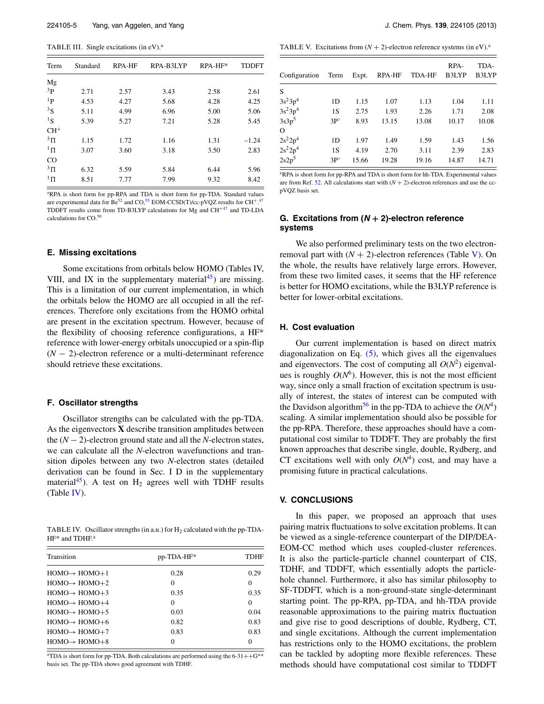<span id="page-4-0"></span>TABLE III. Single excitations (in  $eV$ ).<sup>a</sup>

| Term           | <b>RPA-HF</b><br>Standard |      | RPA-B3LYP | RPA-HF* | <b>TDDFT</b> |  |
|----------------|---------------------------|------|-----------|---------|--------------|--|
| Mg             |                           |      |           |         |              |  |
| 3 <sub>P</sub> | 2.71                      | 2.57 | 3.43      | 2.58    | 2.61         |  |
| 1 <sub>P</sub> | 4.53                      | 4.27 | 5.68      | 4.28    | 4.25         |  |
| ${}^{3}S$      | 5.11                      | 4.99 | 6.96      | 5.00    | 5.06         |  |
| ${}^{1}S$      | 5.39                      | 5.27 | 7.21      | 5.28    | 5.45         |  |
| $CH+$          |                           |      |           |         |              |  |
| $3\,\Pi$       | 1.15                      | 1.72 | 1.16      | 1.31    | $-1.24$      |  |
| $1\,\Pi$       | 3.07                      | 3.60 | 3.18      | 3.50    | 2.83         |  |
| $_{\rm CO}$    |                           |      |           |         |              |  |
| $3\,\Pi$       | 6.32                      | 5.59 | 5.84      | 6.44    | 5.96         |  |
| $1\,\Pi$       | 8.51                      | 7.77 | 7.99      | 9.32    | 8.42         |  |

<span id="page-4-2"></span><sup>a</sup>RPA is short form for pp-RPA and TDA is short form for pp-TDA. Standard values are experimental data for Be<sup>52</sup> and CO,<sup>[55](#page-5-46)</sup> EOM-CCSD(T)/cc-pVQZ results for CH<sup>+ [47](#page-5-38)</sup> TDDFT results come from TD-B3LYP calculations for Mg and CH+[47](#page-5-38) and TD-LDA calculations for CO.[50](#page-5-41)

## <span id="page-4-1"></span>**E. Missing excitations**

Some excitations from orbitals below HOMO (Tables IV, VIII, and IX in the supplementary material<sup>45</sup>) are missing. This is a limitation of our current implementation, in which the orbitals below the HOMO are all occupied in all the references. Therefore only excitations from the HOMO orbital are present in the excitation spectrum. However, because of the flexibility of choosing reference configurations, a HF\* reference with lower-energy orbitals unoccupied or a spin-flip (*N* − 2)-electron reference or a multi-determinant reference should retrieve these excitations.

### **F. Oscillator strengths**

Oscillator strengths can be calculated with the pp-TDA. As the eigenvectors **X** describe transition amplitudes between the (*N* − 2)-electron ground state and all the *N*-electron states, we can calculate all the *N*-electron wavefunctions and transition dipoles between any two *N*-electron states (detailed derivation can be found in Sec. I D in the supplementary material<sup>45</sup>). A test on  $H_2$  agrees well with TDHF results (Table [IV\)](#page-4-3).

<span id="page-4-3"></span>TABLE IV. Oscillator strengths (in a.u.) for  $H_2$  calculated with the pp-TDA-HF\* and TDHF.<sup>a</sup>

| Transition                  | pp-TDA-HF* | <b>TDHF</b> |  |
|-----------------------------|------------|-------------|--|
| $HOMO \rightarrow HOMO + 1$ | 0.28       | 0.29        |  |
| $HOMO \rightarrow HOMO + 2$ | $\Omega$   | $\theta$    |  |
| $HOMO \rightarrow HOMO + 3$ | 0.35       | 0.35        |  |
| $HOMO \rightarrow HOMO + 4$ | $\Omega$   | $\Omega$    |  |
| $HOMO \rightarrow HOMO + 5$ | 0.03       | 0.04        |  |
| $HOMO \rightarrow HOMO + 6$ | 0.82       | 0.83        |  |
| $HOMO \rightarrow HOMO + 7$ | 0.83       | 0.83        |  |
| $HOMO \rightarrow HOMO + 8$ | $\Omega$   | $\Omega$    |  |
|                             |            |             |  |

<span id="page-4-4"></span><sup>a</sup>TDA is short form for pp-TDA. Both calculations are performed using the  $6-31++G^{**}$ basis set. The pp-TDA shows good agreement with TDHF.

<span id="page-4-6"></span>TABLE V. Excitations from  $(N + 2)$ -electron reference systems (in eV).<sup>a</sup>

| Configuration     | Term         | Expt. | <b>RPA-HF</b> | <b>TDA-HF</b> | RPA-<br>B3LYP | TDA-<br>B3LYP |
|-------------------|--------------|-------|---------------|---------------|---------------|---------------|
| S                 |              |       |               |               |               |               |
| $3s^23p^4$        | 1D           | 1.15  | 1.07          | 1.13          | 1.04          | 1.11          |
| $3s^23p^4$        | 1S           | 2.75  | 1.93          | 2.26          | 1.71          | 2.08          |
| 3s3p <sup>5</sup> | $3P^{\circ}$ | 8.93  | 13.15         | 13.08         | 10.17         | 10.08         |
| $\Omega$          |              |       |               |               |               |               |
| $2s^22p^4$        | 1D           | 1.97  | 1.49          | 1.59          | 1.43          | 1.56          |
| $2s^22p^4$        | 1S           | 4.19  | 2.70          | 3.11          | 2.39          | 2.83          |
| 2s2p <sup>5</sup> | $3P^{\circ}$ | 15.66 | 19.28         | 19.16         | 14.87         | 14.71         |

<span id="page-4-5"></span><sup>a</sup>RPA is short form for pp-RPA and TDA is short form for hh-TDA. Experimental values are from Ref. [52.](#page-5-43) All calculations start with  $(N + 2)$ -electron references and use the ccpVQZ basis set.

# **G. Excitations from (<sup>N</sup> + 2)-electron reference systems**

We also performed preliminary tests on the two electronremoval part with  $(N + 2)$ -electron references (Table [V\)](#page-4-6). On the whole, the results have relatively large errors. However, from these two limited cases, it seems that the HF reference is better for HOMO excitations, while the B3LYP reference is better for lower-orbital excitations.

# **H. Cost evaluation**

Our current implementation is based on direct matrix diagonalization on Eq.  $(5)$ , which gives all the eigenvalues and eigenvectors. The cost of computing all  $O(N^2)$  eigenvalues is roughly  $O(N^6)$ . However, this is not the most efficient way, since only a small fraction of excitation spectrum is usually of interest, the states of interest can be computed with the Davidson algorithm<sup>[56](#page-5-47)</sup> in the pp-TDA to achieve the  $O(N^4)$ scaling. A similar implementation should also be possible for the pp-RPA. Therefore, these approaches should have a computational cost similar to TDDFT. They are probably the first known approaches that describe single, double, Rydberg, and CT excitations well with only  $O(N^4)$  cost, and may have a promising future in practical calculations.

## **V. CONCLUSIONS**

In this paper, we proposed an approach that uses pairing matrix fluctuations to solve excitation problems. It can be viewed as a single-reference counterpart of the DIP/DEA-EOM-CC method which uses coupled-cluster references. It is also the particle-particle channel counterpart of CIS, TDHF, and TDDFT, which essentially adopts the particlehole channel. Furthermore, it also has similar philosophy to SF-TDDFT, which is a non-ground-state single-determinant starting point. The pp-RPA, pp-TDA, and hh-TDA provide reasonable approximations to the pairing matrix fluctuation and give rise to good descriptions of double, Rydberg, CT, and single excitations. Although the current implementation has restrictions only to the HOMO excitations, the problem can be tackled by adopting more flexible references. These methods should have computational cost similar to TDDFT